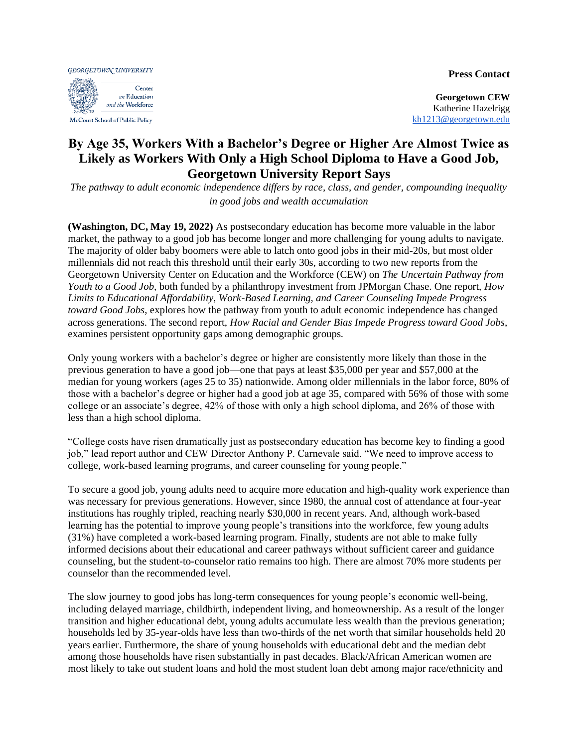**Press Contact**



**Georgetown CEW** Katherine Hazelrigg [kh1213@georgetown.edu](mailto:kh1213@georgetown.edu)

## **By Age 35, Workers With a Bachelor's Degree or Higher Are Almost Twice as Likely as Workers With Only a High School Diploma to Have a Good Job, Georgetown University Report Says**

*The pathway to adult economic independence differs by race, class, and gender, compounding inequality in good jobs and wealth accumulation*

**(Washington, DC, May 19, 2022)** As postsecondary education has become more valuable in the labor market, the pathway to a good job has become longer and more challenging for young adults to navigate. The majority of older baby boomers were able to latch onto good jobs in their mid-20s, but most older millennials did not reach this threshold until their early 30s, according to two new reports from the Georgetown University Center on Education and the Workforce (CEW) on *The Uncertain Pathway from Youth to a Good Job,* both funded by a philanthropy investment from JPMorgan Chase. One report, *How Limits to Educational Affordability, Work-Based Learning, and Career Counseling Impede Progress toward Good Jobs*, explores how the pathway from youth to adult economic independence has changed across generations. The second report, *How Racial and Gender Bias Impede Progress toward Good Jobs*, examines persistent opportunity gaps among demographic groups*.*

Only young workers with a bachelor's degree or higher are consistently more likely than those in the previous generation to have a good job—one that pays at least \$35,000 per year and \$57,000 at the median for young workers (ages 25 to 35) nationwide. Among older millennials in the labor force, 80% of those with a bachelor's degree or higher had a good job at age 35, compared with 56% of those with some college or an associate's degree, 42% of those with only a high school diploma, and 26% of those with less than a high school diploma.

"College costs have risen dramatically just as postsecondary education has become key to finding a good job," lead report author and CEW Director Anthony P. Carnevale said. "We need to improve access to college, work-based learning programs, and career counseling for young people."

To secure a good job, young adults need to acquire more education and high-quality work experience than was necessary for previous generations. However, since 1980, the annual cost of attendance at four-year institutions has roughly tripled, reaching nearly \$30,000 in recent years. And, although work-based learning has the potential to improve young people's transitions into the workforce, few young adults (31%) have completed a work-based learning program. Finally, students are not able to make fully informed decisions about their educational and career pathways without sufficient career and guidance counseling, but the student-to-counselor ratio remains too high. There are almost 70% more students per counselor than the recommended level.

The slow journey to good jobs has long-term consequences for young people's economic well-being, including delayed marriage, childbirth, independent living, and homeownership. As a result of the longer transition and higher educational debt, young adults accumulate less wealth than the previous generation; households led by 35-year-olds have less than two-thirds of the net worth that similar households held 20 years earlier. Furthermore, the share of young households with educational debt and the median debt among those households have risen substantially in past decades. Black/African American women are most likely to take out student loans and hold the most student loan debt among major race/ethnicity and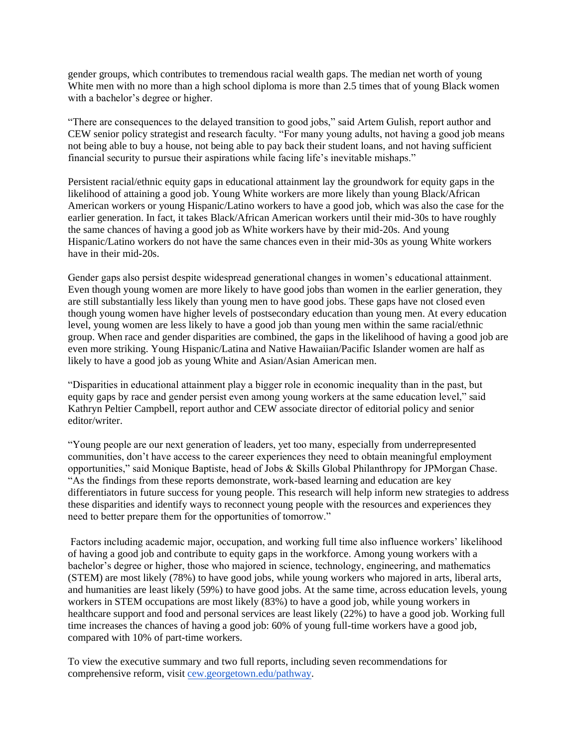gender groups, which contributes to tremendous racial wealth gaps. The median net worth of young White men with no more than a high school diploma is more than 2.5 times that of young Black women with a bachelor's degree or higher.

"There are consequences to the delayed transition to good jobs," said Artem Gulish, report author and CEW senior policy strategist and research faculty. "For many young adults, not having a good job means not being able to buy a house, not being able to pay back their student loans, and not having sufficient financial security to pursue their aspirations while facing life's inevitable mishaps."

Persistent racial/ethnic equity gaps in educational attainment lay the groundwork for equity gaps in the likelihood of attaining a good job. Young White workers are more likely than young Black/African American workers or young Hispanic/Latino workers to have a good job, which was also the case for the earlier generation. In fact, it takes Black/African American workers until their mid-30s to have roughly the same chances of having a good job as White workers have by their mid-20s. And young Hispanic/Latino workers do not have the same chances even in their mid-30s as young White workers have in their mid-20s.

Gender gaps also persist despite widespread generational changes in women's educational attainment. Even though young women are more likely to have good jobs than women in the earlier generation, they are still substantially less likely than young men to have good jobs. These gaps have not closed even though young women have higher levels of postsecondary education than young men. At every education level, young women are less likely to have a good job than young men within the same racial/ethnic group. When race and gender disparities are combined, the gaps in the likelihood of having a good job are even more striking. Young Hispanic/Latina and Native Hawaiian/Pacific Islander women are half as likely to have a good job as young White and Asian/Asian American men.

"Disparities in educational attainment play a bigger role in economic inequality than in the past, but equity gaps by race and gender persist even among young workers at the same education level," said Kathryn Peltier Campbell, report author and CEW associate director of editorial policy and senior editor/writer.

"Young people are our next generation of leaders, yet too many, especially from underrepresented communities, don't have access to the career experiences they need to obtain meaningful employment opportunities," said Monique Baptiste, head of Jobs & Skills Global Philanthropy for JPMorgan Chase. "As the findings from these reports demonstrate, work-based learning and education are key differentiators in future success for young people. This research will help inform new strategies to address these disparities and identify ways to reconnect young people with the resources and experiences they need to better prepare them for the opportunities of tomorrow."

Factors including academic major, occupation, and working full time also influence workers' likelihood of having a good job and contribute to equity gaps in the workforce. Among young workers with a bachelor's degree or higher, those who majored in science, technology, engineering, and mathematics (STEM) are most likely (78%) to have good jobs, while young workers who majored in arts, liberal arts, and humanities are least likely (59%) to have good jobs. At the same time, across education levels, young workers in STEM occupations are most likely (83%) to have a good job, while young workers in healthcare support and food and personal services are least likely (22%) to have a good job. Working full time increases the chances of having a good job: 60% of young full-time workers have a good job, compared with 10% of part-time workers.

To view the executive summary and two full reports, including seven recommendations for comprehensive reform, visit [cew.georgetown.edu/pathway.](http://cew.georgetown.edu/pathway)